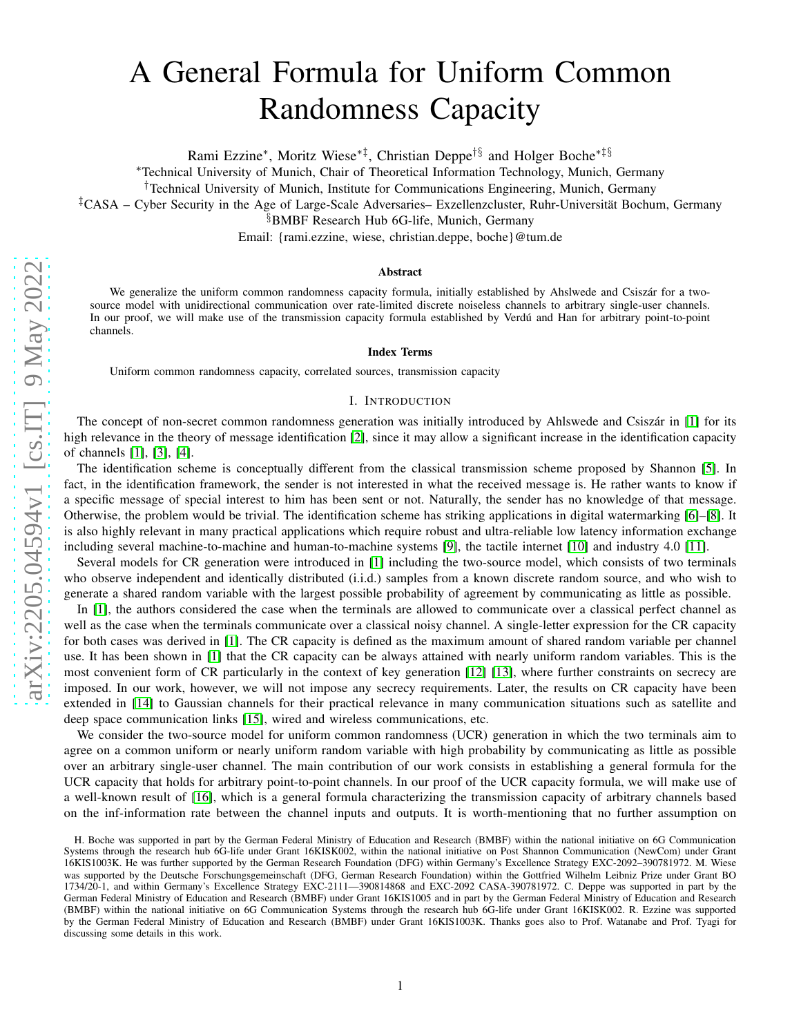# A General Formula for Uniform Common Randomness Capacity

Rami Ezzine\*, Moritz Wiese<sup>\*‡</sup>, Christian Deppe<sup>†§</sup> and Holger Boche<sup>\*‡§</sup>

<sup>∗</sup>Technical University of Munich, Chair of Theoretical Information Technology, Munich, Germany

†Technical University of Munich, Institute for Communications Engineering, Munich, Germany

‡CASA – Cyber Security in the Age of Large-Scale Adversaries– Exzellenzcluster, Ruhr-Universität Bochum, Germany

§BMBF Research Hub 6G-life, Munich, Germany

Email: {rami.ezzine, wiese, christian.deppe, boche}@tum.de

#### Abstract

We generalize the uniform common randomness capacity formula, initially established by Ahslwede and Csiszár for a twosource model with unidirectional communication over rate-limited discrete noiseless channels to arbitrary single-user channels. In our proof, we will make use of the transmission capacity formula established by Verdú and Han for arbitrary point-to-point channels.

#### Index Terms

Uniform common randomness capacity, correlated sources, transmission capacity

## I. INTRODUCTION

The concept of non-secret common randomness generation was initially introduced by Ahlswede and Csiszár in [\[1\]](#page-11-0) for its high relevance in the theory of message identification [\[2\]](#page-11-1), since it may allow a significant increase in the identification capacity of channels [\[1\]](#page-11-0), [\[3\]](#page-11-2), [\[4\]](#page-11-3).

The identification scheme is conceptually different from the classical transmission scheme proposed by Shannon [\[5\]](#page-11-4). In fact, in the identification framework, the sender is not interested in what the received message is. He rather wants to know if a specific message of special interest to him has been sent or not. Naturally, the sender has no knowledge of that message. Otherwise, the problem would be trivial. The identification scheme has striking applications in digital watermarking [\[6\]](#page-11-5)–[\[8\]](#page-11-6). It is also highly relevant in many practical applications which require robust and ultra-reliable low latency information exchange including several machine-to-machine and human-to-machine systems [\[9\]](#page-11-7), the tactile internet [\[10\]](#page-11-8) and industry 4.0 [\[11\]](#page-11-9).

Several models for CR generation were introduced in [\[1\]](#page-11-0) including the two-source model, which consists of two terminals who observe independent and identically distributed (i.i.d.) samples from a known discrete random source, and who wish to generate a shared random variable with the largest possible probability of agreement by communicating as little as possible.

In [\[1\]](#page-11-0), the authors considered the case when the terminals are allowed to communicate over a classical perfect channel as well as the case when the terminals communicate over a classical noisy channel. A single-letter expression for the CR capacity for both cases was derived in [\[1\]](#page-11-0). The CR capacity is defined as the maximum amount of shared random variable per channel use. It has been shown in [\[1\]](#page-11-0) that the CR capacity can be always attained with nearly uniform random variables. This is the most convenient form of CR particularly in the context of key generation [\[12\]](#page-11-10) [\[13\]](#page-11-11), where further constraints on secrecy are imposed. In our work, however, we will not impose any secrecy requirements. Later, the results on CR capacity have been extended in [\[14\]](#page-11-12) to Gaussian channels for their practical relevance in many communication situations such as satellite and deep space communication links [\[15\]](#page-11-13), wired and wireless communications, etc.

We consider the two-source model for uniform common randomness (UCR) generation in which the two terminals aim to agree on a common uniform or nearly uniform random variable with high probability by communicating as little as possible over an arbitrary single-user channel. The main contribution of our work consists in establishing a general formula for the UCR capacity that holds for arbitrary point-to-point channels. In our proof of the UCR capacity formula, we will make use of a well-known result of [\[16\]](#page-12-0), which is a general formula characterizing the transmission capacity of arbitrary channels based on the inf-information rate between the channel inputs and outputs. It is worth-mentioning that no further assumption o n

H. Boche was supported in part by the German Federal Ministry of Education and Research (BMBF) within the national initiative on 6G Communication Systems through the research hub 6G-life under Grant 16KISK002, within the national initiative on Post Shannon Communication (NewCom) under Grant 16KIS1003K. He was further supported by the German Research Foundation (DFG) within Germany's Excellence Strategy EXC-2092–390781972. M. Wiese was supported by the Deutsche Forschungsgemeinschaft (DFG, German Research Foundation) within the Gottfried Wilhelm Leibniz Prize under Grant BO 1734/20-1, and within Germany's Excellence Strategy EXC-2111—390814868 and EXC-2092 CASA-390781972. C. Deppe was supported in part by the German Federal Ministry of Education and Research (BMBF) under Grant 16KIS1005 and in part by the German Federal Ministry of Education and Research (BMBF) within the national initiative on 6G Communication Systems through the research hub 6G-life under Grant 16KISK002. R. Ezzine was supported by the German Federal Ministry of Education and Research (BMBF) under Grant 16KIS1003K. Thanks goes also to Prof. Watanabe and Prof. Tyagi for discussing some details in this work.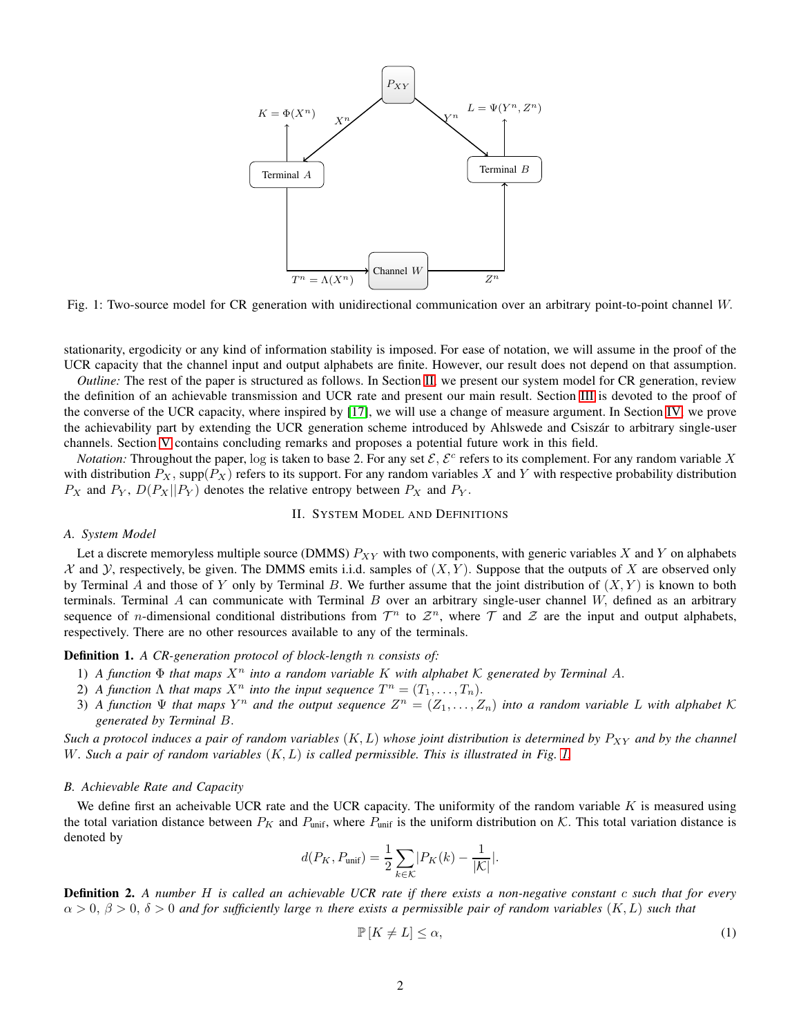<span id="page-1-1"></span>

Fig. 1: Two-source model for CR generation with unidirectional communication over an arbitrary point-to-point channel W.

stationarity, ergodicity or any kind of information stability is imposed. For ease of notation, we will assume in the proof of the UCR capacity that the channel input and output alphabets are finite. However, our result does not depend on that assumption.

*Outline:* The rest of the paper is structured as follows. In Section [II,](#page-1-0) we present our system model for CR generation, review the definition of an achievable transmission and UCR rate and present our main result. Section [III](#page-3-0) is devoted to the proof of the converse of the UCR capacity, where inspired by [\[17\]](#page-12-1), we will use a change of measure argument. In Section [IV,](#page-9-0) we prove the achievability part by extending the UCR generation scheme introduced by Ahlswede and Csiszár to arbitrary single-user channels. Section [V](#page-11-14) contains concluding remarks and proposes a potential future work in this field.

*Notation:* Throughout the paper, log is taken to base 2. For any set  $\mathcal{E}, \mathcal{E}^c$  refers to its complement. For any random variable X with distribution  $P_X$ , supp $(P_X)$  refers to its support. For any random variables X and Y with respective probability distribution  $P_X$  and  $P_Y$ ,  $D(P_X||P_Y)$  denotes the relative entropy between  $P_X$  and  $P_Y$ .

## II. SYSTEM MODEL AND DEFINITIONS

## <span id="page-1-3"></span><span id="page-1-0"></span>*A. System Model*

Let a discrete memoryless multiple source (DMMS)  $P_{XY}$  with two components, with generic variables X and Y on alphabets  $X$  and  $Y$ , respectively, be given. The DMMS emits i.i.d. samples of  $(X, Y)$ . Suppose that the outputs of X are observed only by Terminal A and those of Y only by Terminal B. We further assume that the joint distribution of  $(X, Y)$  is known to both terminals. Terminal A can communicate with Terminal B over an arbitrary single-user channel  $W$ , defined as an arbitrary sequence of *n*-dimensional conditional distributions from  $\mathcal{T}^n$  to  $\mathcal{Z}^n$ , where  $\mathcal T$  and  $\mathcal Z$  are the input and output alphabets, respectively. There are no other resources available to any of the terminals.

## Definition 1. *A CR-generation protocol of block-length* n *consists of:*

- 1) *A function*  $\Phi$  *that maps*  $X^n$  *into a random variable* K *with alphabet* K *generated by Terminal A.*
- 2) *A function*  $\Lambda$  *that maps*  $X^n$  *into the input sequence*  $T^n = (T_1, \ldots, T_n)$ *.*
- 3) A function  $\Psi$  that maps  $Y^n$  and the output sequence  $Z^n = (Z_1, \ldots, Z_n)$  into a random variable L with alphabet K *generated by Terminal* B.

*Such a protocol induces a pair of random variables*  $(K, L)$  *whose joint distribution is determined by*  $P_{XY}$  *and by the channel* W*. Such a pair of random variables* (K, L) *is called permissible. This is illustrated in Fig. [1.](#page-1-1)*

#### *B. Achievable Rate and Capacity*

We define first an acheivable UCR rate and the UCR capacity. The uniformity of the random variable  $K$  is measured using the total variation distance between  $P_K$  and  $P_{\text{unif}}$ , where  $P_{\text{unif}}$  is the uniform distribution on K. This total variation distance is denoted by

$$
d(P_K, P_{\text{unif}}) = \frac{1}{2} \sum_{k \in \mathcal{K}} |P_K(k) - \frac{1}{|\mathcal{K}|}.
$$

Definition 2. *A number* H *is called an achievable UCR rate if there exists a non-negative constant* c *such that for every*  $\alpha > 0$ ,  $\beta > 0$ ,  $\delta > 0$  and for sufficiently large *n* there exists a permissible pair of random variables  $(K, L)$  such that

<span id="page-1-2"></span>
$$
\mathbb{P}\left[K \neq L\right] \leq \alpha,\tag{1}
$$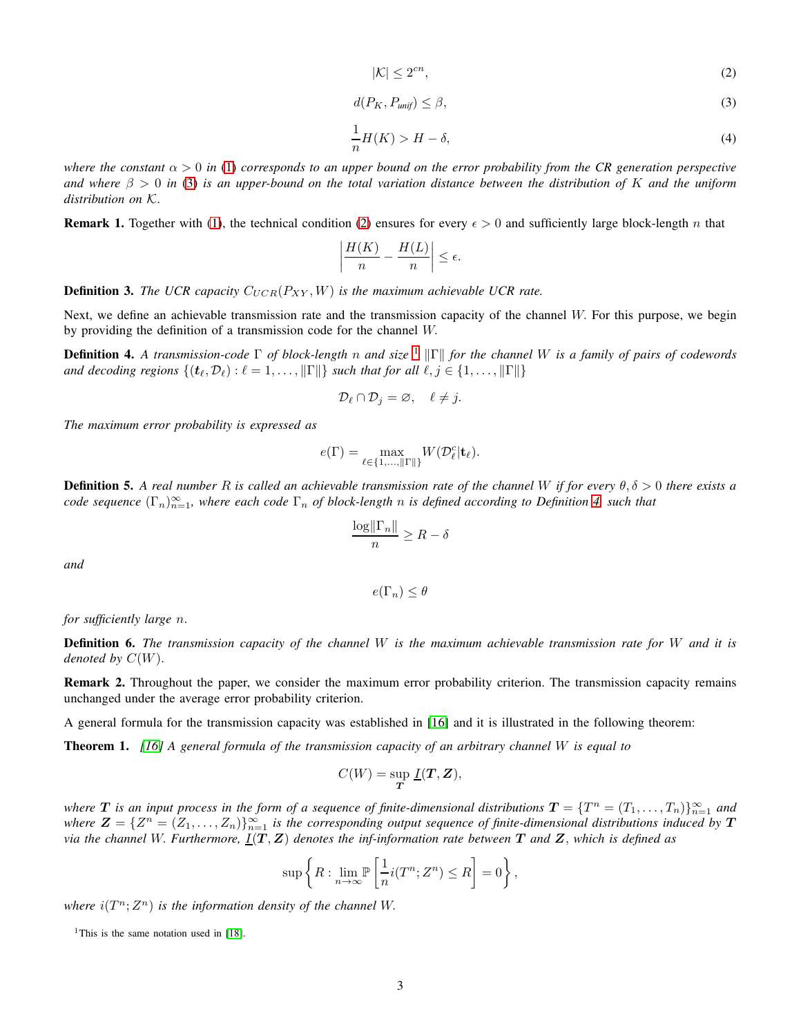<span id="page-2-1"></span>
$$
|\mathcal{K}| \le 2^{cn},\tag{2}
$$

<span id="page-2-0"></span>
$$
d(P_K, P_{unif}) \le \beta,\tag{3}
$$

<span id="page-2-4"></span>
$$
\frac{1}{n}H(K) > H - \delta,\tag{4}
$$

*where the constant*  $\alpha > 0$  *in* [\(1\)](#page-1-2) *corresponds to an upper bound on the error probability from the CR generation perspective and where* β > 0 *in* [\(3\)](#page-2-0) *is an upper-bound on the total variation distance between the distribution of* K *and the uniform distribution on* K.

**Remark 1.** Together with [\(1\)](#page-1-2), the technical condition [\(2\)](#page-2-1) ensures for every  $\epsilon > 0$  and sufficiently large block-length n that

$$
\left|\frac{H(K)}{n}-\frac{H(L)}{n}\right|\leq\epsilon.
$$

**Definition 3.** *The UCR capacity*  $C_{UCR}(P_{XY}, W)$  *is the maximum achievable UCR rate.* 

Next, we define an achievable transmission rate and the transmission capacity of the channel W. For this purpose, we begin by providing the definition of a transmission code for the channel W.

<span id="page-2-3"></span>**Definition 4.** A transmission-code Γ of block-length n and size <sup>[1](#page-2-2)</sup> ||Γ|| for the channel W is a family of pairs of codewords *and decoding regions*  $\{(\mathbf{t}_{\ell}, \mathcal{D}_{\ell}) : \ell = 1, \ldots, ||\Gamma||\}$  *such that for all*  $\ell, j \in \{1, \ldots, ||\Gamma||\}$ 

$$
\mathcal{D}_{\ell} \cap \mathcal{D}_{j} = \varnothing, \quad \ell \neq j.
$$

*The maximum error probability is expressed as*

$$
e(\Gamma)=\max_{\ell\in\{1,\ldots,\|\Gamma\|\}}W(\mathcal{D}_\ell^c|\mathbf{t}_\ell).
$$

Definition 5. *A real number* R *is called an achievable transmission rate of the channel* W *if for every* θ, δ > 0 *there exists a*  $code$  sequence  $(\Gamma_n)_{n=1}^{\infty}$ , where each code  $\Gamma_n$  of block-length n is defined according to Definition [4,](#page-2-3) such that

$$
\frac{\log \|\Gamma_n\|}{n} \ge R - \delta
$$

*and*

$$
e(\Gamma_n) \le \theta
$$

*for sufficiently large* n.

Definition 6. *The transmission capacity of the channel* W *is the maximum achievable transmission rate for* W *and it is denoted by* C(W).

Remark 2. Throughout the paper, we consider the maximum error probability criterion. The transmission capacity remains unchanged under the average error probability criterion.

A general formula for the transmission capacity was established in [\[16\]](#page-12-0) and it is illustrated in the following theorem:

<span id="page-2-5"></span>Theorem 1. *[\[16\]](#page-12-0) A general formula of the transmission capacity of an arbitrary channel* W *is equal to*

$$
C(W) = \sup_{\mathbf{T}} \underline{I}(\mathbf{T}, \mathbf{Z}),
$$

where  $T$  is an input process in the form of a sequence of finite-dimensional distributions  $T = \{T^n = (T_1, \ldots, T_n)\}_{n=1}^{\infty}$  and where  $\mathbf{Z} = \{Z^n = (Z_1, \ldots, Z_n)\}_{n=1}^{\infty}$  is the corresponding output sequence of finite-dimensional distributions induced by  $\mathbf{T}$ *via the channel* W. *Furthermore,* I(T, Z) *denotes the inf-information rate between* T *and* Z, *which is defined as*

$$
\sup \left\{ R : \lim_{n \to \infty} \mathbb{P}\left[\frac{1}{n} i(T^n; Z^n) \le R\right] = 0\right\},\
$$

where  $i(T^n; Z^n)$  *is the information density of the channel W.* 

<span id="page-2-2"></span><sup>1</sup>This is the same notation used in [\[18\]](#page-12-2).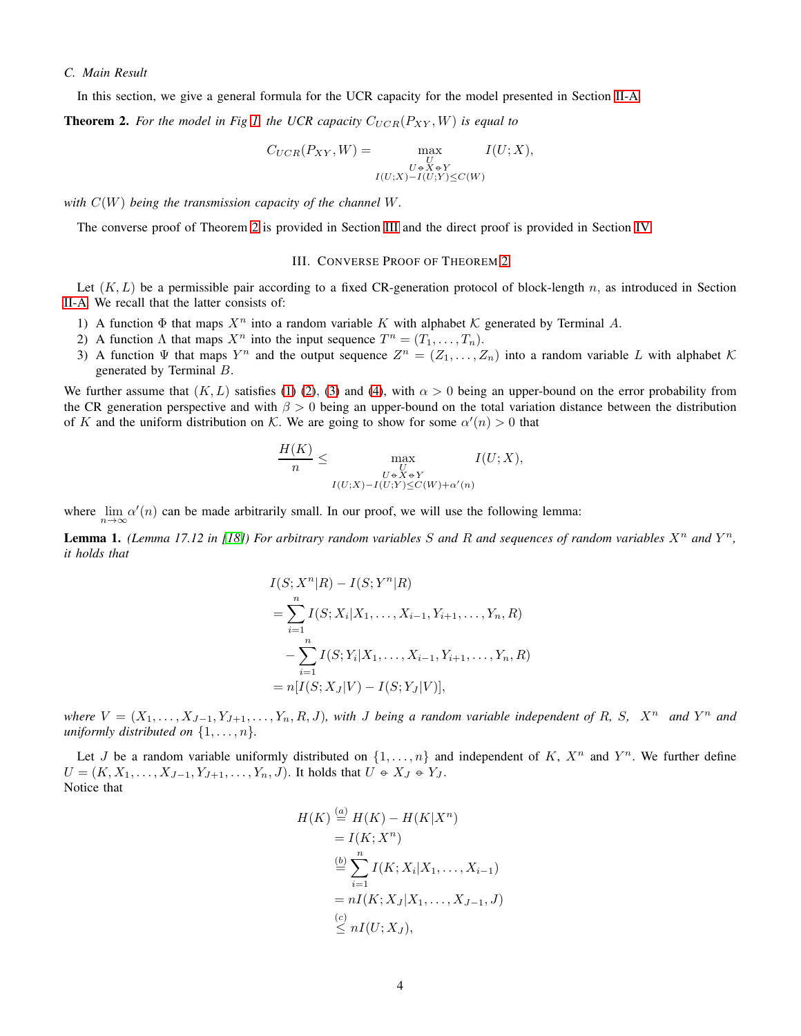# *C. Main Result*

In this section, we give a general formula for the UCR capacity for the model presented in Section [II-A.](#page-1-3)

**Theorem 2.** For the model in Fig [1,](#page-1-1) the UCR capacity  $C_{UCR}(P_{XY}, W)$  is equal to

<span id="page-3-1"></span>
$$
C_{UCR}(P_{XY}, W) = \max_{\substack{U \in X \in Y \\ I(U;X) - I(U;Y) \le C(W)}} I(U;X),
$$

*with* C(W) *being the transmission capacity of the channel* W*.*

<span id="page-3-0"></span>The converse proof of Theorem [2](#page-3-1) is provided in Section [III](#page-3-0) and the direct proof is provided in Section [IV.](#page-9-0)

## III. CONVERSE PROOF OF THEOREM [2](#page-3-1)

Let  $(K, L)$  be a permissible pair according to a fixed CR-generation protocol of block-length n, as introduced in Section [II-A.](#page-1-3) We recall that the latter consists of:

- 1) A function  $\Phi$  that maps  $X^n$  into a random variable K with alphabet K generated by Terminal A.
- 2) A function  $\Lambda$  that maps  $X^n$  into the input sequence  $T^n = (T_1, \ldots, T_n)$ .
- 3) A function  $\Psi$  that maps  $Y^n$  and the output sequence  $Z^n = (Z_1, \ldots, Z_n)$  into a random variable L with alphabet  $\mathcal K$ generated by Terminal B.

We further assume that  $(K, L)$  satisfies [\(1\)](#page-1-2) [\(2\)](#page-2-1), [\(3\)](#page-2-0) and [\(4\)](#page-2-4), with  $\alpha > 0$  being an upper-bound on the error probability from the CR generation perspective and with  $\beta > 0$  being an upper-bound on the total variation distance between the distribution of K and the uniform distribution on K. We are going to show for some  $\alpha'(n) > 0$  that

$$
\frac{H(K)}{n} \le \max_{\substack{U \\ U \in X \in Y \\ I(U;X) - I(U;Y) \le C(W) + \alpha'(n)}} I(U;X),
$$

where  $\lim_{n\to\infty} \alpha'(n)$  can be made arbitrarily small. In our proof, we will use the following lemma:

<span id="page-3-2"></span>**Lemma 1.** (Lemma 17.12 in [\[18\]](#page-12-2)) For arbitrary random variables S and R and sequences of random variables  $X^n$  and  $Y^n$ , *it holds that*

$$
I(S; X^n | R) - I(S; Y^n | R)
$$
  
= 
$$
\sum_{i=1}^n I(S; X_i | X_1, \dots, X_{i-1}, Y_{i+1}, \dots, Y_n, R)
$$
  
- 
$$
\sum_{i=1}^n I(S; Y_i | X_1, \dots, X_{i-1}, Y_{i+1}, \dots, Y_n, R)
$$
  
= 
$$
n[I(S; X_J | V) - I(S; Y_J | V)],
$$

*where*  $V = (X_1, \ldots, X_{J-1}, Y_{J+1}, \ldots, Y_n, R, J)$ , with J being a random variable independent of R, S,  $X^n$  and  $Y^n$  and *uniformly distributed on*  $\{1, \ldots, n\}$ *.* 

Let J be a random variable uniformly distributed on  $\{1,\ldots,n\}$  and independent of K,  $X^n$  and  $Y^n$ . We further define  $U = (K, X_1, \ldots, X_{J-1}, Y_{J+1}, \ldots, Y_n, J)$ . It holds that  $U \oplus X_J \oplus Y_J$ . Notice that

$$
H(K) \stackrel{(a)}{=} H(K) - H(K|X^n)
$$
  
=  $I(K; X^n)$   

$$
\stackrel{(b)}{=} \sum_{i=1}^n I(K; X_i|X_1, \dots, X_{i-1})
$$
  
=  $nI(K; X_J|X_1, \dots, X_{J-1}, J)$   

$$
\stackrel{(c)}{\leq} nI(U; X_J),
$$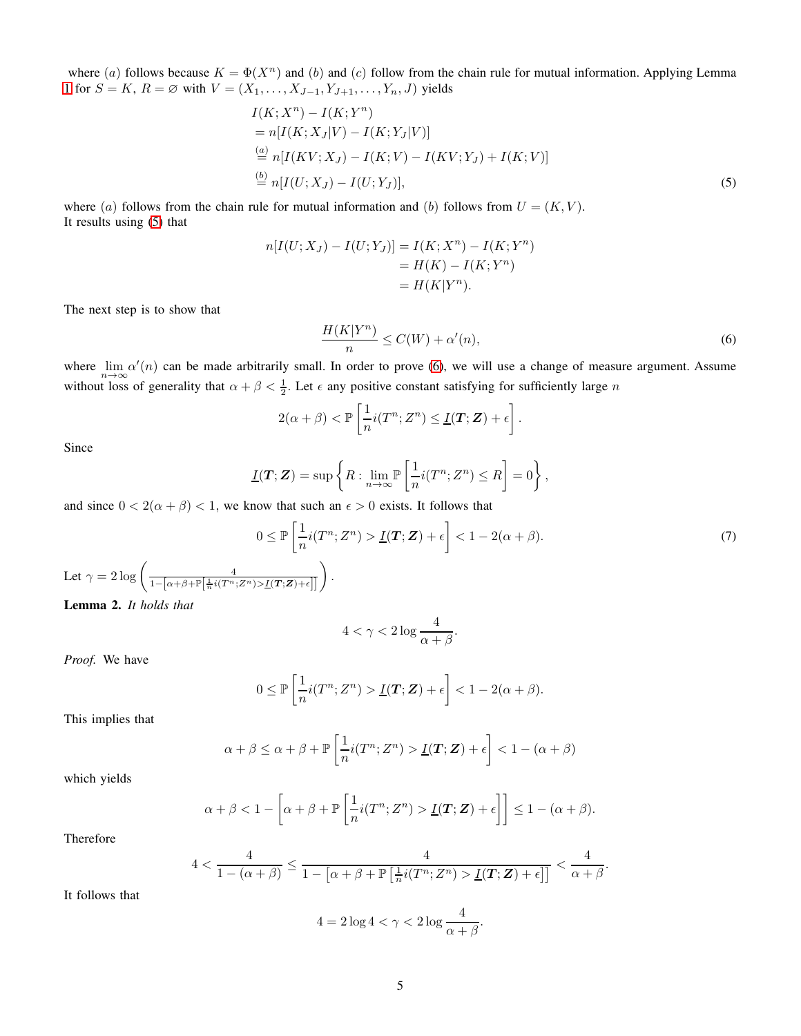where (a) follows because  $K = \Phi(X^n)$  and (b) and (c) follow from the chain rule for mutual information. Applying Lemma [1](#page-3-2) for  $S = K$ ,  $R = \emptyset$  with  $V = (X_1, ..., X_{J-1}, Y_{J+1}, ..., Y_n, J)$  yields

$$
I(K; X^{n}) - I(K; Y^{n})
$$
  
= n[I(K; X<sub>J</sub>|V) - I(K; Y<sub>J</sub>|V)]  

$$
\stackrel{(a)}{=} n[I(KV; XJ) - I(K; V) - I(KV; YJ) + I(K; V)]
$$
  

$$
\stackrel{(b)}{=} n[I(U; XJ) - I(U; YJ)],
$$
 (5)

where (a) follows from the chain rule for mutual information and (b) follows from  $U = (K, V)$ . It results using [\(5\)](#page-4-0) that

$$
n[I(U; X_J) - I(U; Y_J)] = I(K; X^n) - I(K; Y^n)
$$
  
=  $H(K) - I(K; Y^n)$   
=  $H(K|Y^n)$ .

The next step is to show that

<span id="page-4-1"></span><span id="page-4-0"></span>
$$
\frac{H(K|Y^n)}{n} \le C(W) + \alpha'(n),\tag{6}
$$

where  $\lim_{n\to\infty} \alpha'(n)$  can be made arbitrarily small. In order to prove [\(6\)](#page-4-1), we will use a change of measure argument. Assume without loss of generality that  $\alpha + \beta < \frac{1}{2}$ . Let  $\epsilon$  any positive constant satisfying for sufficiently large n

$$
2(\alpha + \beta) < \mathbb{P}\left[\frac{1}{n}i(T^n; Z^n) \leq \underline{I}(T; \mathbf{Z}) + \epsilon\right].
$$

Since

$$
\underline{I}(\mathbf{T};\mathbf{Z}) = \sup \left\{ R : \lim_{n \to \infty} \mathbb{P}\left[\frac{1}{n} i(T^n; Z^n) \leq R\right] = 0 \right\},\,
$$

and since  $0 < 2(\alpha + \beta) < 1$ , we know that such an  $\epsilon > 0$  exists. It follows that

$$
0 \le \mathbb{P}\left[\frac{1}{n}i(T^n; Z^n) > \underline{I}(T; \mathbf{Z}) + \epsilon\right] < 1 - 2(\alpha + \beta). \tag{7}
$$

<span id="page-4-3"></span>Let 
$$
\gamma = 2 \log \left( \frac{4}{1 - [\alpha + \beta + \mathbb{P}[\frac{1}{n}i(T^n; Z^n) > \underline{I}(T; \mathbf{Z}) + \epsilon]]} \right)
$$
.  
**Lemma 2.** It holds that

<span id="page-4-2"></span>
$$
4<\gamma<2\log\frac{4}{\alpha+\beta}.
$$

*Proof.* We have

$$
0 \leq \mathbb{P}\left[\frac{1}{n}i(T^n; Z^n) > \underline{I}(T; \mathbf{Z}) + \epsilon\right] < 1 - 2(\alpha + \beta).
$$

This implies that

$$
\alpha + \beta \le \alpha + \beta + \mathbb{P}\left[\frac{1}{n}i(T^n; Z^n) > \underline{I}(T; \mathbf{Z}) + \epsilon\right] < 1 - (\alpha + \beta)
$$

which yields

$$
\alpha + \beta < 1 - \left[ \alpha + \beta + \mathbb{P}\left[ \frac{1}{n} i(T^n; Z^n) > \underline{I}(T; \mathbf{Z}) + \epsilon \right] \right] \leq 1 - (\alpha + \beta).
$$

Therefore

$$
4 < \frac{4}{1 - (\alpha + \beta)} \le \frac{4}{1 - [\alpha + \beta + \mathbb{P} \left[ \frac{1}{n} i(T^n; Z^n) > \underline{I}(T; \mathbf{Z}) + \epsilon \right] \rceil} < \frac{4}{\alpha + \beta}.
$$

It follows that

$$
4 = 2\log 4 < \gamma < 2\log \frac{4}{\alpha + \beta}.
$$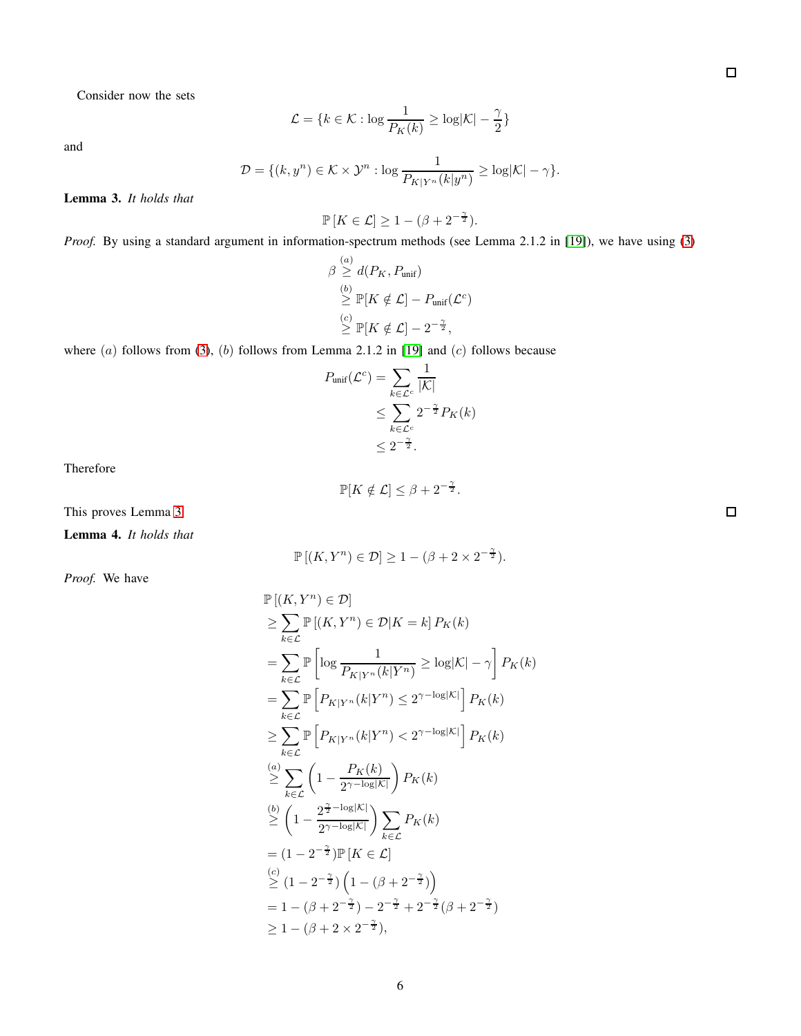Consider now the sets

$$
\mathcal{L} = \{k \in \mathcal{K}: \log \frac{1}{P_K(k)} \geq \log |\mathcal{K}| - \frac{\gamma}{2}\}
$$

and

$$
\mathcal{D} = \{(k, y^n) \in \mathcal{K} \times \mathcal{Y}^n : \log \frac{1}{P_{K|Y^n}(k|y^n)} \ge \log |\mathcal{K}| - \gamma \}.
$$

<span id="page-5-0"></span>Lemma 3. *It holds that*

$$
\mathbb{P}\left[K \in \mathcal{L}\right] \ge 1 - (\beta + 2^{-\frac{\gamma}{2}}).
$$

*Proof.* By using a standard argument in information-spectrum methods (see Lemma 2.1.2 in [\[19\]](#page-12-3)), we have using [\(3\)](#page-2-0)

$$
\beta \stackrel{(a)}{\geq} d(P_K, P_{\text{unif}})
$$
  
\n
$$
\stackrel{(b)}{\geq} \mathbb{P}[K \notin \mathcal{L}] - P_{\text{unif}}(\mathcal{L}^c)
$$
  
\n
$$
\stackrel{(c)}{\geq} \mathbb{P}[K \notin \mathcal{L}] - 2^{-\frac{\gamma}{2}},
$$

where  $(a)$  follows from [\(3\)](#page-2-0),  $(b)$  follows from Lemma 2.1.2 in [\[19\]](#page-12-3) and  $(c)$  follows because

$$
P_{\text{unif}}(\mathcal{L}^c) = \sum_{k \in \mathcal{L}^c} \frac{1}{|\mathcal{K}|}
$$
  
\n
$$
\leq \sum_{k \in \mathcal{L}^c} 2^{-\frac{\gamma}{2}} P_K(k)
$$
  
\n
$$
\leq 2^{-\frac{\gamma}{2}}.
$$

Therefore

$$
\mathbb{P}[K \notin \mathcal{L}] \le \beta + 2^{-\frac{\gamma}{2}}.
$$

This proves Lemma [3.](#page-5-0)

<span id="page-5-1"></span>Lemma 4. *It holds that*

$$
\mathbb{P}[(K,Y^n) \in \mathcal{D}] \ge 1 - (\beta + 2 \times 2^{-\frac{\gamma}{2}}).
$$

*Proof.* We have

$$
\mathbb{P}[(K, Y^n) \in \mathcal{D}]
$$
\n
$$
\geq \sum_{k \in \mathcal{L}} \mathbb{P}[(K, Y^n) \in \mathcal{D}|K = k] P_K(k)
$$
\n
$$
= \sum_{k \in \mathcal{L}} \mathbb{P} \left[ \log \frac{1}{P_{K|Y^n}(k|Y^n)} \geq \log|\mathcal{K}| - \gamma \right] P_K(k)
$$
\n
$$
= \sum_{k \in \mathcal{L}} \mathbb{P} \left[ P_{K|Y^n}(k|Y^n) \leq 2^{\gamma - \log|\mathcal{K}|} \right] P_K(k)
$$
\n
$$
\geq \sum_{k \in \mathcal{L}} \mathbb{P} \left[ P_{K|Y^n}(k|Y^n) < 2^{\gamma - \log|\mathcal{K}|} \right] P_K(k)
$$
\n
$$
\stackrel{(a)}{\geq} \sum_{k \in \mathcal{L}} \left( 1 - \frac{P_K(k)}{2^{\gamma - \log|\mathcal{K}|}} \right) P_K(k)
$$
\n
$$
\stackrel{(b)}{\geq} \left( 1 - \frac{2^{\frac{\gamma}{2} - \log|\mathcal{K}|}}{2^{\gamma - \log|\mathcal{K}|}} \right) \sum_{k \in \mathcal{L}} P_K(k)
$$
\n
$$
= (1 - 2^{-\frac{\gamma}{2}}) \mathbb{P} \left[ K \in \mathcal{L} \right]
$$
\n
$$
\stackrel{(c)}{\geq} (1 - 2^{-\frac{\gamma}{2}}) \left( 1 - (\beta + 2^{-\frac{\gamma}{2}}) \right)
$$
\n
$$
= 1 - (\beta + 2^{-\frac{\gamma}{2}}) - 2^{-\frac{\gamma}{2}} + 2^{-\frac{\gamma}{2}}(\beta + 2^{-\frac{\gamma}{2}})
$$
\n
$$
\geq 1 - (\beta + 2 \times 2^{-\frac{\gamma}{2}}),
$$

 $\Box$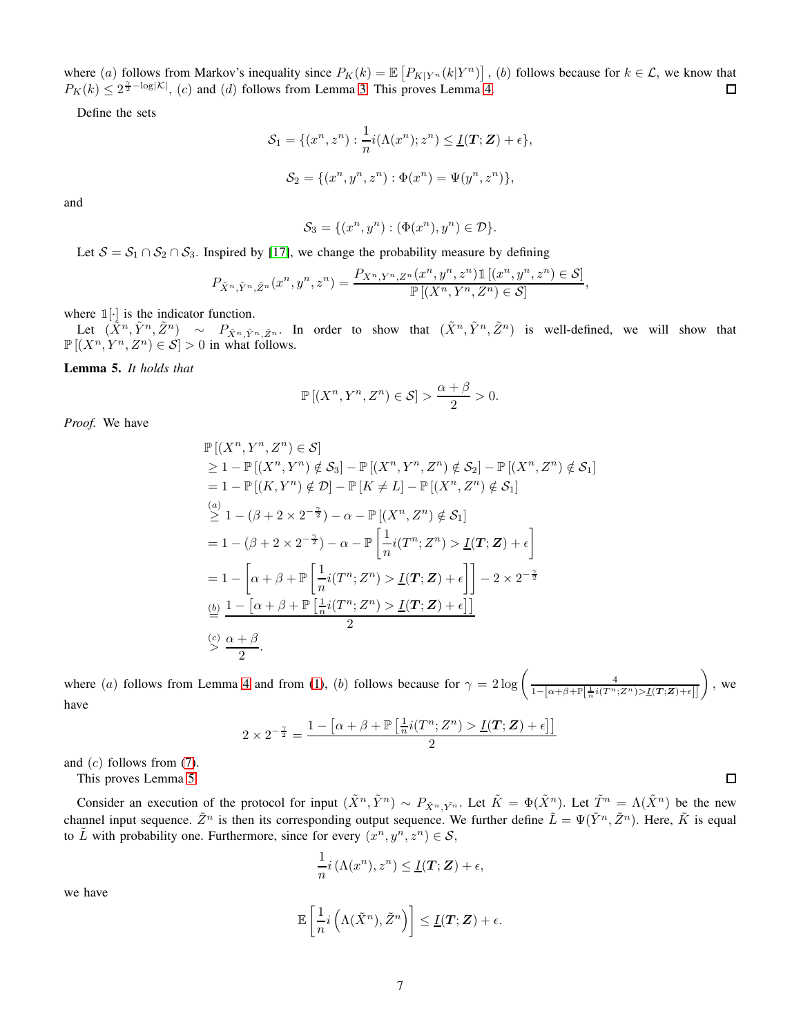where (a) follows from Markov's inequality since  $P_K(k) = \mathbb{E}\left[P_{K|Y^n}(k|Y^n)\right]$ , (b) follows because for  $k \in \mathcal{L}$ , we know that  $P_K(k) \leq 2^{\frac{\gamma}{2} - \log|\mathcal{K}|}$ , (c) and (d) follows from Lemma [3.](#page-5-0) This proves Lemma [4.](#page-5-1)

Define the sets

$$
\mathcal{S}_1 = \{ (x^n, z^n) : \frac{1}{n} i(\Lambda(x^n); z^n) \le \underline{I}(T; \mathbf{Z}) + \epsilon \},
$$
  

$$
\mathcal{S}_2 = \{ (x^n, y^n, z^n) : \Phi(x^n) = \Psi(y^n, z^n) \},
$$

and

$$
\mathcal{S}_3 = \{ (x^n, y^n) : (\Phi(x^n), y^n) \in \mathcal{D} \}.
$$

Let  $S = S_1 \cap S_2 \cap S_3$ . Inspired by [\[17\]](#page-12-1), we change the probability measure by defining

$$
P_{\tilde{X}^n, \tilde{Y}^n, \tilde{Z}^n}(x^n, y^n, z^n) = \frac{P_{X^n, Y^n, Z^n}(x^n, y^n, z^n) \mathbb{1}\left[ (x^n, y^n, z^n) \in \mathcal{S} \right]}{\mathbb{P}\left[ (X^n, Y^n, Z^n) \in \mathcal{S} \right]},
$$

where  $\mathbb{1}[\cdot]$  is the indicator function.

Let  $(\tilde{X}^n, \tilde{Y}^n, \tilde{Z}^n) \sim P_{\tilde{X}^n, \tilde{Y}^n, \tilde{Z}^n}$ . In order to show that  $(\tilde{X}^n, \tilde{Y}^n, \tilde{Z}^n)$  is well-defined, we will show that  $\mathbb{P}[(X^n, Y^n, Z^n) \in S] > 0$  in what follows.

<span id="page-6-0"></span>Lemma 5. *It holds that*

$$
\mathbb{P}[(X^n, Y^n, Z^n) \in \mathcal{S}] > \frac{\alpha + \beta}{2} > 0.
$$

*Proof.* We have

$$
\mathbb{P}[(X^n, Y^n, Z^n) \in \mathcal{S}]
$$
\n
$$
\geq 1 - \mathbb{P}[(X^n, Y^n) \notin \mathcal{S}_3] - \mathbb{P}[(X^n, Y^n, Z^n) \notin \mathcal{S}_2] - \mathbb{P}[(X^n, Z^n) \notin \mathcal{S}_1]
$$
\n
$$
= 1 - \mathbb{P}[(K, Y^n) \notin \mathcal{D}] - \mathbb{P}[K \neq L] - \mathbb{P}[(X^n, Z^n) \notin \mathcal{S}_1]
$$
\n
$$
\stackrel{(a)}{\geq} 1 - (\beta + 2 \times 2^{-\frac{\gamma}{2}}) - \alpha - \mathbb{P}[(X^n, Z^n) \notin \mathcal{S}_1]
$$
\n
$$
= 1 - (\beta + 2 \times 2^{-\frac{\gamma}{2}}) - \alpha - \mathbb{P}\left[\frac{1}{n}i(T^n; Z^n) > \underline{I}(T; \mathbf{Z}) + \epsilon\right]
$$
\n
$$
= 1 - \left[\alpha + \beta + \mathbb{P}\left[\frac{1}{n}i(T^n; Z^n) > \underline{I}(T; \mathbf{Z}) + \epsilon\right]\right] - 2 \times 2^{-\frac{\gamma}{2}}
$$
\n
$$
\stackrel{(b)}{=} \frac{1 - [\alpha + \beta + \mathbb{P}[\frac{1}{n}i(T^n; Z^n) > \underline{I}(T; \mathbf{Z}) + \epsilon]]}{2}
$$
\n
$$
\stackrel{(c)}{=} \frac{\alpha + \beta}{2}.
$$

where (a) follows from Lemma [4](#page-5-1) and from [\(1\)](#page-1-2), (b) follows because for  $\gamma = 2 \log \left( \frac{4}{1 - [\alpha + \beta + \mathbb{P}[\frac{1}{n}i(T^n;Z^n) > I(T; \mathbf{Z}) + \epsilon]]} \right)$ , we have

$$
2 \times 2^{-\frac{\gamma}{2}} = \frac{1 - \left[ \alpha + \beta + \mathbb{P}\left[\frac{1}{n}i(T^n; Z^n) > \underline{I}(T; \mathbf{Z}) + \epsilon\right] \right]}{2}
$$

and  $(c)$  follows from  $(7)$ .

This proves Lemma [5.](#page-6-0)

Consider an execution of the protocol for input  $(\tilde{X}^n, \tilde{Y}^n) \sim P_{\tilde{X}^n, \tilde{Y}^n}$ . Let  $\tilde{K} = \Phi(\tilde{X}^n)$ . Let  $\tilde{T}^n = \Lambda(\tilde{X}^n)$  be the new channel input sequence.  $\tilde{Z}^n$  is then its corresponding output sequence. We further define  $\tilde{L} = \Psi(\tilde{Y}^n, \tilde{Z}^n)$ . Here,  $\tilde{K}$  is equal to  $\tilde{L}$  with probability one. Furthermore, since for every  $(x^n, y^n, z^n) \in S$ ,

$$
\frac{1}{n}i\left(\Lambda(x^n), z^n\right) \leq \underline{I}(T; \mathbf{Z}) + \epsilon,
$$

we have

$$
\mathbb{E}\left[\frac{1}{n}i\left(\Lambda(\tilde{X}^n),\tilde{Z}^n\right)\right]\leq\underline{I}(\boldsymbol{T};\boldsymbol{Z})+\epsilon.
$$

 $\Box$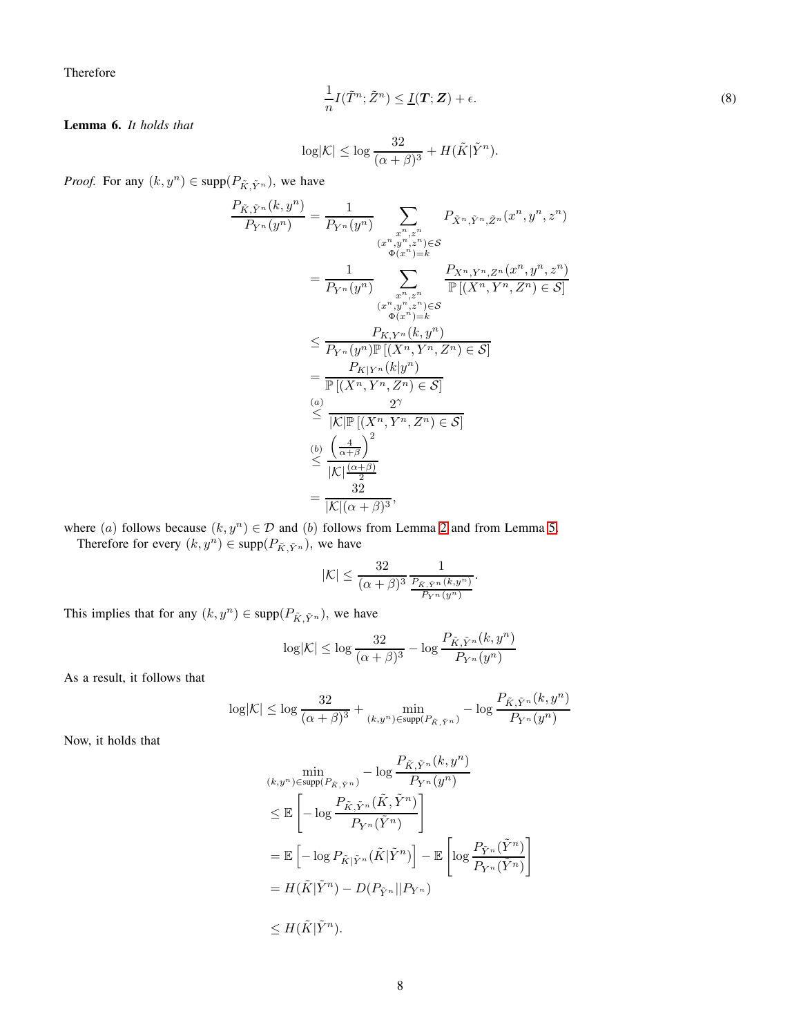Therefore

<span id="page-7-1"></span>
$$
\frac{1}{n}I(\tilde{T}^n; \tilde{Z}^n) \le \underline{I}(T; Z) + \epsilon.
$$
\n(8)

<span id="page-7-0"></span>Lemma 6. *It holds that*

$$
\log |\mathcal{K}| \leq \log \frac{32}{(\alpha+\beta)^3} + H(\tilde{K}|\tilde{Y}^n).
$$

*Proof.* For any  $(k, y^n) \in \text{supp}(P_{\tilde{K}, \tilde{Y}^n})$ , we have

$$
\frac{P_{\tilde{K},\tilde{Y}^n}(k,y^n)}{P_{Y^n}(y^n)} = \frac{1}{P_{Y^n}(y^n)} \sum_{\substack{x^n,z^n\\(x^n,y^n,z^n)\in\mathcal{S}\\(x^n,y^n,z^n)\in\mathcal{S}}} P_{\tilde{X}^n,\tilde{Y}^n,\tilde{Z}^n}(x^n,y^n,z^n)
$$
\n
$$
= \frac{1}{P_{Y^n}(y^n)} \sum_{\substack{x^n,z^n\\(x^n,y^n,z^n)\in\mathcal{S}\\(x^n,y^n)=k}} \frac{P_{X^n,Y^n,Z^n}(x^n,y^n,z^n)}{\mathbb{P}[(X^n,Y^n,Z^n)\in\mathcal{S}]}
$$
\n
$$
\leq \frac{P_{K,Y^n}(k,y^n)}{P_{Y^n}(y^n)\mathbb{P}[(X^n,Y^n,Z^n)\in\mathcal{S}]}
$$
\n
$$
= \frac{P_{K|Y^n}(k|y^n)}{\mathbb{P}[(X^n,Y^n,Z^n)\in\mathcal{S}]}
$$
\n
$$
\overset{(a)}{\leq} \frac{2^{\gamma}}{|K|\mathbb{P}[(X^n,Y^n,Z^n)\in\mathcal{S}]}
$$
\n
$$
\overset{(b)}{\leq} \frac{\left(\frac{4}{\alpha+\beta}\right)^2}{|K|\frac{(\alpha+\beta)}{2}}
$$
\n
$$
= \frac{32}{|K|(\alpha+\beta)^3},
$$

where (a) follows because  $(k, y^n) \in \mathcal{D}$  and (b) follows from Lemma [2](#page-4-3) and from Lemma [5.](#page-6-0) Therefore for every  $(k, y^n) \in \text{supp}(P_{\tilde{K}, \tilde{Y}^n})$ , we have

$$
|\mathcal{K}| \le \frac{32}{(\alpha+\beta)^3} \frac{1}{\frac{P_{\tilde{K},\tilde{Y}^n}(k,y^n)}{P_{Y^n}(y^n)}}.
$$

This implies that for any  $(k, y^n) \in \text{supp}(P_{\tilde{K}, \tilde{Y}^n})$ , we have

$$
\log |\mathcal{K}| \le \log \frac{32}{(\alpha + \beta)^3} - \log \frac{P_{\tilde{K}, \tilde{Y}^n}(k, y^n)}{P_{Y^n}(y^n)}
$$

As a result, it follows that

$$
\log \lvert \mathcal{K} \rvert \leq \log \frac{32}{(\alpha+\beta)^3} + \min_{(k,y^n)\in \text{supp}(P_{\tilde{K},\tilde{Y}^n})} - \log \frac{P_{\tilde{K},\tilde{Y}^n}(k,y^n)}{P_{Y^n}(y^n)}
$$

Now, it holds that

$$
\min_{(k,y^n)\in \text{supp}(P_{\tilde{K},\tilde{Y}^n})} - \log \frac{P_{\tilde{K},\tilde{Y}^n}(k,y^n)}{P_{Y^n}(y^n)}
$$
\n
$$
\leq \mathbb{E}\left[-\log \frac{P_{\tilde{K},\tilde{Y}^n}(\tilde{K},\tilde{Y}^n)}{P_{Y^n}(\tilde{Y}^n)}\right]
$$
\n
$$
= \mathbb{E}\left[-\log P_{\tilde{K}|\tilde{Y}^n}(\tilde{K}|\tilde{Y}^n)\right] - \mathbb{E}\left[\log \frac{P_{\tilde{Y}^n}(\tilde{Y}^n)}{P_{Y^n}(\tilde{Y}^n)}\right]
$$
\n
$$
= H(\tilde{K}|\tilde{Y}^n) - D(P_{\tilde{Y}^n}||P_{Y^n})
$$
\n
$$
\leq H(\tilde{K}|\tilde{Y}^n).
$$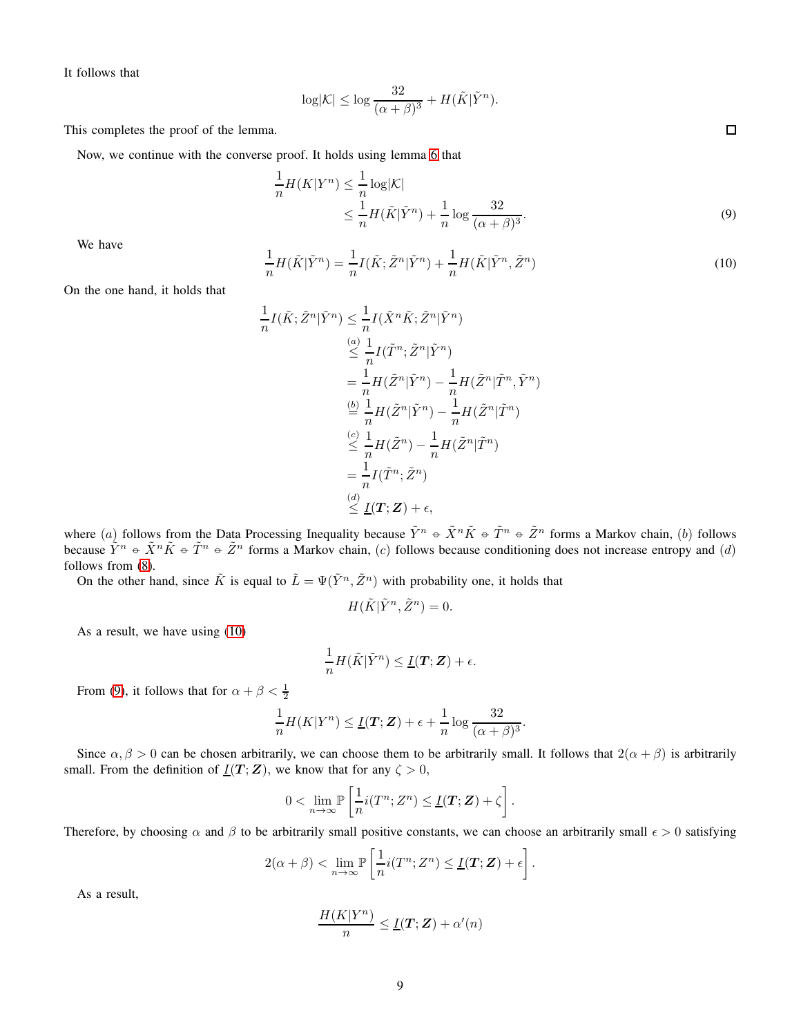It follows that

$$
\log |\mathcal{K}| \leq \log \frac{32}{(\alpha+\beta)^3} + H(\tilde{K}|\tilde{Y}^n).
$$

This completes the proof of the lemma.

Now, we continue with the converse proof. It holds using lemma [6](#page-7-0) that

$$
\frac{1}{n}H(K|Y^n) \le \frac{1}{n}\log|\mathcal{K}|
$$
\n
$$
\le \frac{1}{n}H(\tilde{K}|\tilde{Y}^n) + \frac{1}{n}\log\frac{32}{(\alpha+\beta)^3}.
$$
\n(9)

We have

<span id="page-8-0"></span>
$$
\frac{1}{n}H(\tilde{K}|\tilde{Y}^n) = \frac{1}{n}I(\tilde{K};\tilde{Z}^n|\tilde{Y}^n) + \frac{1}{n}H(\tilde{K}|\tilde{Y}^n,\tilde{Z}^n)
$$
\n(10)

On the one hand, it holds that

$$
\frac{1}{n}I(\tilde{K}; \tilde{Z}^n | \tilde{Y}^n) \leq \frac{1}{n}I(\tilde{X}^n \tilde{K}; \tilde{Z}^n | \tilde{Y}^n)
$$
\n
$$
\leq \frac{1}{n}I(\tilde{T}^n; \tilde{Z}^n | \tilde{Y}^n)
$$
\n
$$
= \frac{1}{n}H(\tilde{Z}^n | \tilde{Y}^n) - \frac{1}{n}H(\tilde{Z}^n | \tilde{T}^n, \tilde{Y}^n)
$$
\n
$$
\stackrel{\text{(b)}{=} } \frac{1}{n}H(\tilde{Z}^n | \tilde{Y}^n) - \frac{1}{n}H(\tilde{Z}^n | \tilde{T}^n)
$$
\n
$$
\leq \frac{1}{n}H(\tilde{Z}^n) - \frac{1}{n}H(\tilde{Z}^n | \tilde{T}^n)
$$
\n
$$
= \frac{1}{n}I(\tilde{T}^n; \tilde{Z}^n)
$$
\n
$$
\stackrel{\text{(d)}}{\leq} \underline{I}(T; \mathbf{Z}) + \epsilon,
$$

where (a) follows from the Data Processing Inequality because  $\tilde{Y}^n \oplus \tilde{X}^n \tilde{K} \oplus \tilde{T}^n \oplus \tilde{Z}^n$  forms a Markov chain, (b) follows because  $\tilde{Y}^n \in \tilde{X}^n \tilde{K} \in \tilde{T}^n \in \tilde{Z}^n$  forms a Markov chain, (c) follows because conditioning does not increase entropy and (d) follows from [\(8\)](#page-7-1).

On the other hand, since  $\tilde{K}$  is equal to  $\tilde{L} = \Psi(\tilde{Y}^n, \tilde{Z}^n)$  with probability one, it holds that

$$
H(\tilde{K}|\tilde{Y}^n, \tilde{Z}^n) = 0.
$$

As a result, we have using [\(10\)](#page-8-0)

$$
\frac{1}{n}H(\tilde{K}|\tilde{Y}^n) \leq \underline{I}(\mathbf{T};\mathbf{Z}) + \epsilon.
$$

From [\(9\)](#page-8-1), it follows that for  $\alpha + \beta < \frac{1}{2}$ 

$$
\frac{1}{n}H(K|Y^n) \le \underline{I}(\mathbf{T}; \mathbf{Z}) + \epsilon + \frac{1}{n}\log\frac{32}{(\alpha+\beta)^3}.
$$

Since  $\alpha, \beta > 0$  can be chosen arbitrarily, we can choose them to be arbitrarily small. It follows that  $2(\alpha + \beta)$  is arbitrarily small. From the definition of  $\underline{I}(T;Z)$ , we know that for any  $\zeta > 0$ ,

$$
0 < \lim_{n \to \infty} \mathbb{P}\left[\frac{1}{n} i(T^n; Z^n) \leq \underline{I}(T; \mathbf{Z}) + \zeta\right].
$$

Therefore, by choosing  $\alpha$  and  $\beta$  to be arbitrarily small positive constants, we can choose an arbitrarily small  $\epsilon > 0$  satisfying

$$
2(\alpha + \beta) < \lim_{n \to \infty} \mathbb{P}\left[\frac{1}{n} i(T^n; Z^n) \leq \underline{I}(T; \mathbf{Z}) + \epsilon\right].
$$

As a result,

$$
\frac{H(K|Y^n)}{n} \le \underline{I}(T; \mathbf{Z}) + \alpha'(n)
$$

<span id="page-8-1"></span> $\Box$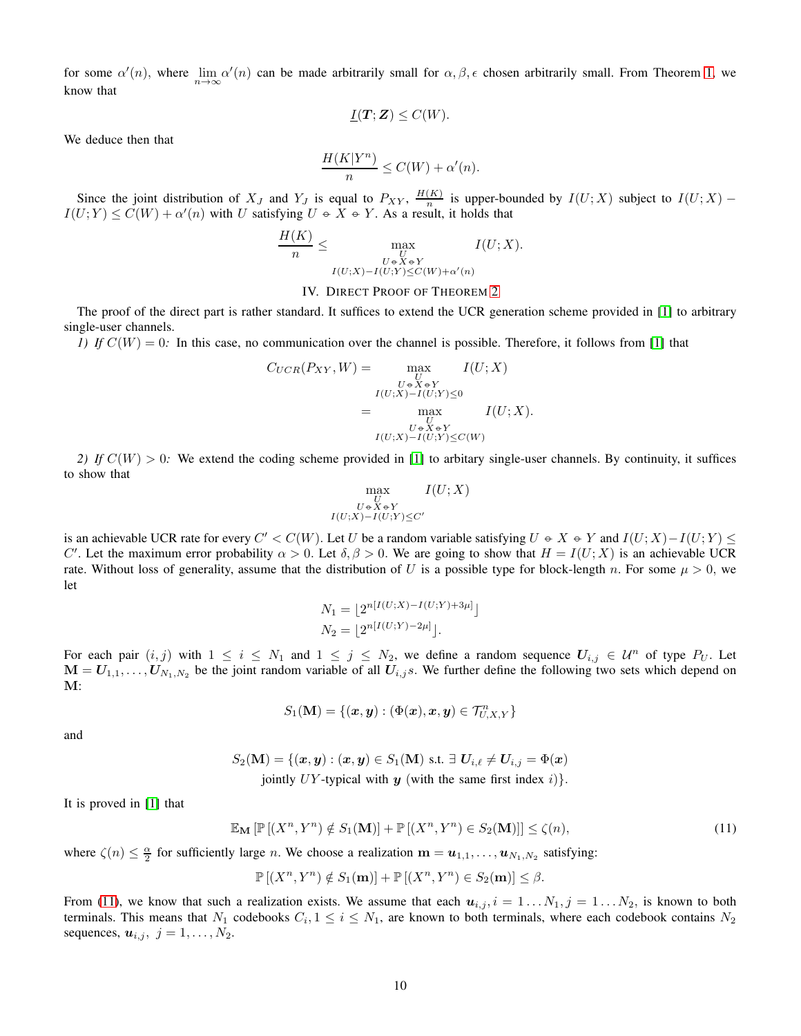for some  $\alpha'(n)$ , where  $\lim_{n\to\infty}\alpha'(n)$  can be made arbitrarily small for  $\alpha, \beta, \epsilon$  chosen arbitrarily small. From Theorem [1,](#page-2-5) we know that

$$
\underline{I}(T;Z)\leq C(W).
$$

We deduce then that

$$
\frac{H(K|Y^n)}{n} \le C(W) + \alpha'(n).
$$

Since the joint distribution of  $X_J$  and  $Y_J$  is equal to  $P_{XY}$ ,  $\frac{H(K)}{n}$  $\frac{(K)}{n}$  is upper-bounded by  $I(U;X)$  subject to  $I(U;X)$  –  $I(U;Y) \leq C(W) + \alpha'(n)$  with U satisfying  $U \in X \in Y$ . As a result, it holds that

$$
\frac{H(K)}{n} \le \max_{\substack{U \\ U \in X \text{ or } Y \\ I(U;X) - I(U;Y) \le C(W) + \alpha'(n)}} I(U;X).
$$

#### IV. DIRECT PROOF OF THEOREM [2](#page-3-1)

<span id="page-9-0"></span>The proof of the direct part is rather standard. It suffices to extend the UCR generation scheme provided in [\[1\]](#page-11-0) to arbitrary single-user channels.

*1)* If  $C(W) = 0$ : In this case, no communication over the channel is possible. Therefore, it follows from [\[1\]](#page-11-0) that

$$
C_{UCR}(P_{XY}, W) = \max_{\substack{U \\ U \in X \in Y \\ I(U;X) - I(U;Y) \le 0}} I(U;X)
$$

$$
= \max_{\substack{U \in X \in Y \\ U \in X \in Y \\ I(U;X) - I(U;Y) \le C(W)}} I(U;X).
$$

*2)* If  $C(W) > 0$ : We extend the coding scheme provided in [\[1\]](#page-11-0) to arbitary single-user channels. By continuity, it suffices to show that

$$
\max_{\substack{U \\ U \in X \in Y \\ I(U;X) - I(U;Y) \le C'}} I(U;X)
$$

is an achievable UCR rate for every  $C' < C(W)$ . Let U be a random variable satisfying  $U \oplus X \oplus Y$  and  $I(U;X) - I(U;Y) \leq$ C'. Let the maximum error probability  $\alpha > 0$ . Let  $\delta, \beta > 0$ . We are going to show that  $H = I(U;X)$  is an achievable UCR rate. Without loss of generality, assume that the distribution of U is a possible type for block-length n. For some  $\mu > 0$ , we let

$$
N_1 = \lfloor 2^{n[I(U;X) - I(U;Y) + 3\mu]} \rfloor
$$
  
\n
$$
N_2 = \lfloor 2^{n[I(U;Y) - 2\mu]} \rfloor.
$$

For each pair  $(i, j)$  with  $1 \le i \le N_1$  and  $1 \le j \le N_2$ , we define a random sequence  $U_{i,j} \in \mathcal{U}^n$  of type  $P_U$ . Let  $M = U_{1,1}, \ldots, U_{N_1,N_2}$  be the joint random variable of all  $U_{i,j}$ s. We further define the following two sets which depend on M:

<span id="page-9-1"></span>
$$
S_1(\mathbf{M}) = \{(\boldsymbol{x},\boldsymbol{y}): (\Phi(\boldsymbol{x}),\boldsymbol{x},\boldsymbol{y})\in \mathcal{T}_{U,X,Y}^n\}
$$

and

$$
S_2(\mathbf{M}) = \{ (\boldsymbol{x}, \boldsymbol{y}) : (\boldsymbol{x}, \boldsymbol{y}) \in S_1(\mathbf{M}) \text{ s.t. } \exists \ U_{i,\ell} \neq U_{i,j} = \Phi(\boldsymbol{x})
$$
  
jointly *UY*-typical with  $\boldsymbol{y}$  (with the same first index *i*) $\}.$ 

It is proved in [\[1\]](#page-11-0) that

$$
\mathbb{E}_{\mathbf{M}}\left[\mathbb{P}\left[(X^n, Y^n) \notin S_1(\mathbf{M})\right] + \mathbb{P}\left[(X^n, Y^n) \in S_2(\mathbf{M})\right]\right] \le \zeta(n),\tag{11}
$$

where  $\zeta(n) \leq \frac{\alpha}{2}$  for sufficiently large *n*. We choose a realization  $m = u_{1,1}, \ldots, u_{N_1,N_2}$  satisfying:

 $\mathbb{P}[(X^n, Y^n) \notin S_1(\mathbf{m})] + \mathbb{P}[(X^n, Y^n) \in S_2(\mathbf{m})] \leq \beta.$ 

From [\(11\)](#page-9-1), we know that such a realization exists. We assume that each  $u_{i,j}$ ,  $i = 1...N_1$ ,  $j = 1...N_2$ , is known to both terminals. This means that  $N_1$  codebooks  $C_i$ ,  $1 \le i \le N_1$ , are known to both terminals, where each codebook contains  $N_2$ sequences,  $u_{i,j}, j = 1, \ldots, N_2$ .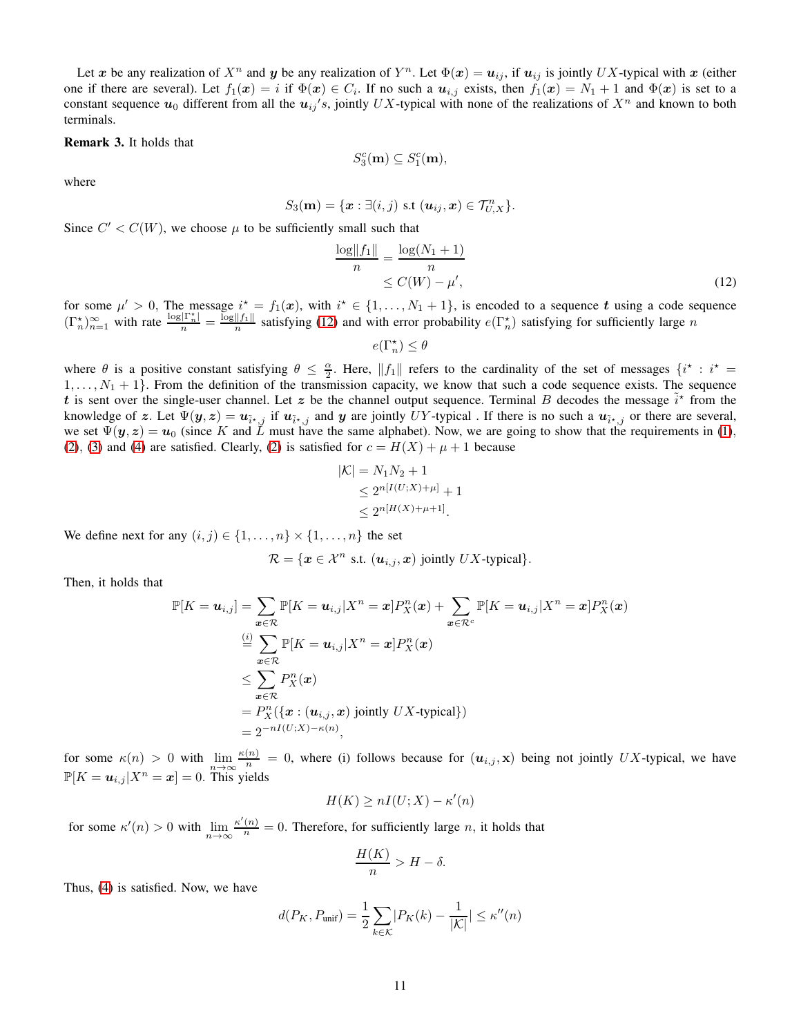Let x be any realization of  $X^n$  and y be any realization of  $Y^n$ . Let  $\Phi(x) = u_{ij}$ , if  $u_{ij}$  is jointly UX-typical with x (either one if there are several). Let  $f_1(x) = i$  if  $\Phi(x) \in C_i$ . If no such a  $u_{i,j}$  exists, then  $f_1(x) = N_1 + 1$  and  $\Phi(x)$  is set to a constant sequence  $u_0$  different from all the  $u_{ij}$ 's, jointly UX-typical with none of the realizations of  $X^n$  and known to both terminals.

## Remark 3. It holds that

$$
S_3^c(\mathbf{m}) \subseteq S_1^c(\mathbf{m}),
$$

where

$$
S_3(\mathbf{m}) = \{\mathbf{x} : \exists (i,j) \text{ s.t } (\mathbf{u}_{ij}, \mathbf{x}) \in \mathcal{T}_{U,X}^n \}.
$$

Since  $C' < C(W)$ , we choose  $\mu$  to be sufficiently small such that

$$
\frac{\log ||f_1||}{n} = \frac{\log(N_1 + 1)}{n} \le C(W) - \mu',
$$
\n(12)

for some  $\mu' > 0$ , The message  $i^* = f_1(x)$ , with  $i^* \in \{1, ..., N_1 + 1\}$ , is encoded to a sequence t using a code sequence  $(\Gamma_n^{\star})_{n=1}^{\infty}$  with rate  $\frac{\log |\Gamma_n^{\star}|}{n} = \frac{\log ||f_1||}{n}$  $\frac{||f_1||}{n}$  satisfying [\(12\)](#page-10-0) and with error probability  $e(\Gamma_n^*)$  satisfying for sufficiently large n

<span id="page-10-0"></span>
$$
e(\Gamma_n^\star) \leq \theta
$$

where  $\theta$  is a positive constant satisfying  $\theta \leq \frac{\alpha}{2}$ . Here,  $||f_1||$  refers to the cardinality of the set of messages  $\{i^* : i^* =$  $1, \ldots, N_1 + 1$ . From the definition of the transmission capacity, we know that such a code sequence exists. The sequence t is sent over the single-user channel. Let z be the channel output sequence. Terminal B decodes the message  $\tilde{i}^*$  from the knowledge of z. Let  $\Psi(y, z) = u_{\tilde{i}^*, j}$  if  $u_{\tilde{i}^*, j}$  and y are jointly UY-typical. If there is no such a  $u_{\tilde{i}^*, j}$  or there are several, we set  $\Psi(y, z) = u_0$  (since K and  $\tilde{L}$  must have the same alphabet). Now, we are going to show that the requirements in [\(1\)](#page-1-2), [\(2\)](#page-2-1), [\(3\)](#page-2-0) and [\(4\)](#page-2-4) are satisfied. Clearly, [\(2\)](#page-2-1) is satisfied for  $c = H(X) + \mu + 1$  because

$$
|\mathcal{K}| = N_1 N_2 + 1
$$
  
\n
$$
\leq 2^{n[I(U;X) + \mu]} + 1
$$
  
\n
$$
\leq 2^{n[H(X) + \mu + 1]}.
$$

We define next for any  $(i, j) \in \{1, \ldots, n\} \times \{1, \ldots, n\}$  the set

 $\mathcal{R} = \{ \mathbf{x} \in \mathcal{X}^n \text{ s.t. } (\mathbf{u}_{i,j}, \mathbf{x}) \text{ jointly } UX\text{-typical} \}.$ 

Then, it holds that

$$
\mathbb{P}[K = u_{i,j}] = \sum_{\mathbf{x} \in \mathcal{R}} \mathbb{P}[K = u_{i,j}|X^n = \mathbf{x}] P_X^n(\mathbf{x}) + \sum_{\mathbf{x} \in \mathcal{R}^c} \mathbb{P}[K = u_{i,j}|X^n = \mathbf{x}] P_X^n(\mathbf{x})
$$
  
\n
$$
\stackrel{(i)}{=} \sum_{\mathbf{x} \in \mathcal{R}} \mathbb{P}[K = u_{i,j}|X^n = \mathbf{x}] P_X^n(\mathbf{x})
$$
  
\n
$$
\leq \sum_{\mathbf{x} \in \mathcal{R}} P_X^n(\mathbf{x})
$$
  
\n
$$
= P_X^n(\{\mathbf{x} : (\mathbf{u}_{i,j}, \mathbf{x}) \text{ jointly } U X \text{-typical}\})
$$
  
\n
$$
= 2^{-nI(U;X) - \kappa(n)},
$$

for some  $\kappa(n) > 0$  with  $\lim_{n \to \infty} \frac{\kappa(n)}{n} = 0$ , where (i) follows because for  $(u_{i,j}, \mathbf{x})$  being not jointly UX-typical, we have  $\mathbb{P}[K = u_{i,j} | X^n = x] = 0$ . This yields

$$
H(K) \ge nI(U;X) - \kappa'(n)
$$

for some  $\kappa'(n) > 0$  with  $\lim_{n \to \infty} \frac{\kappa'(n)}{n} = 0$ . Therefore, for sufficiently large n, it holds that

$$
\frac{H(K)}{n} > H - \delta.
$$

Thus, [\(4\)](#page-2-4) is satisfied. Now, we have

$$
d(P_K, P_{\text{unif}}) = \frac{1}{2} \sum_{k \in \mathcal{K}} |P_K(k) - \frac{1}{|\mathcal{K}|} | \leq \kappa''(n)
$$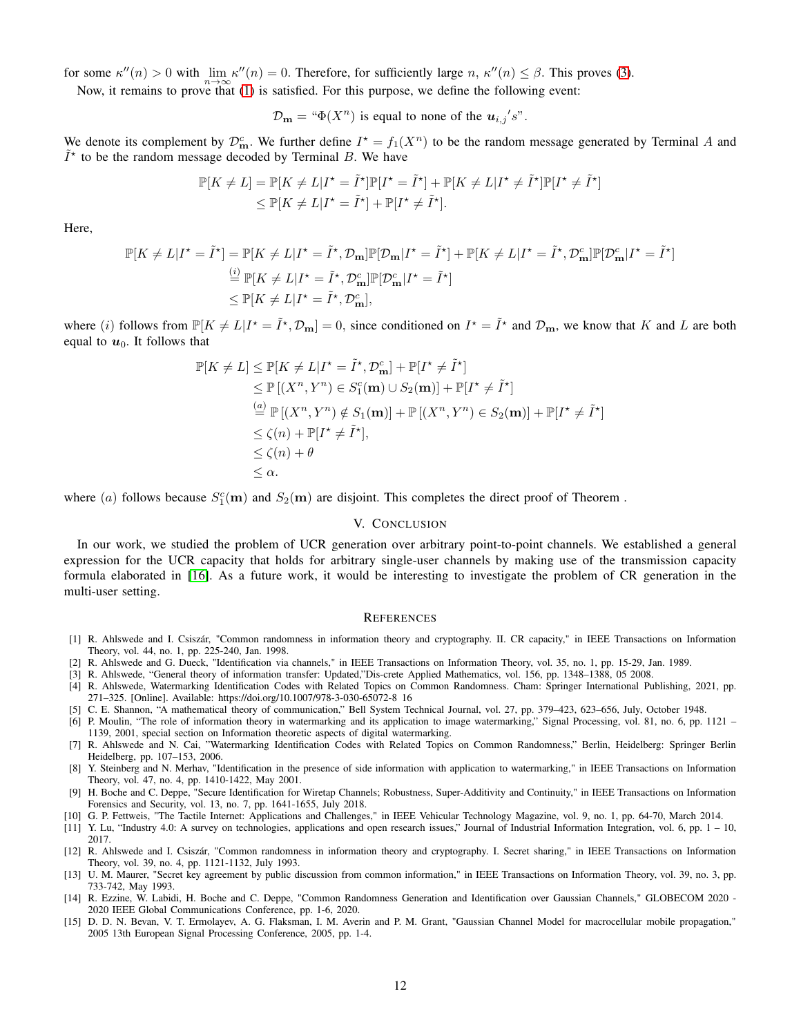for some  $\kappa''(n) > 0$  with  $\lim_{n \to \infty} \kappa''(n) = 0$ . Therefore, for sufficiently large  $n, \kappa''(n) \le \beta$ . This proves [\(3\)](#page-2-0).

Now, it remains to prove that [\(1\)](#page-1-2) is satisfied. For this purpose, we define the following event:

 $\mathcal{D}_{\mathbf{m}} = \mathfrak{m}(\mathbf{X}^n)$  is equal to none of the  $\mathbf{u}_{i,j}$ 's".

We denote its complement by  $\mathcal{D}_m^c$ . We further define  $I^* = f_1(X^n)$  to be the random message generated by Terminal A and  $\tilde{I}^*$  to be the random message decoded by Terminal B. We have

$$
\mathbb{P}[K \neq L] = \mathbb{P}[K \neq L | I^* = \tilde{I}^*] \mathbb{P}[I^* = \tilde{I}^*] + \mathbb{P}[K \neq L | I^* \neq \tilde{I}^*] \mathbb{P}[I^* \neq \tilde{I}^*]
$$
  
\n
$$
\leq \mathbb{P}[K \neq L | I^* = \tilde{I}^*] + \mathbb{P}[I^* \neq \tilde{I}^*].
$$

Here,

$$
\mathbb{P}[K \neq L | I^* = \tilde{I}^*] = \mathbb{P}[K \neq L | I^* = \tilde{I}^*, \mathcal{D}_{\mathbf{m}}] \mathbb{P}[\mathcal{D}_{\mathbf{m}} | I^* = \tilde{I}^*] + \mathbb{P}[K \neq L | I^* = \tilde{I}^*, \mathcal{D}_{\mathbf{m}}^c] \mathbb{P}[\mathcal{D}_{\mathbf{m}}^c | I^* = \tilde{I}^*]
$$
  
\n
$$
\stackrel{\text{(i)}}{=} \mathbb{P}[K \neq L | I^* = \tilde{I}^*, \mathcal{D}_{\mathbf{m}}^c] \mathbb{P}[\mathcal{D}_{\mathbf{m}}^c | I^* = \tilde{I}^*]
$$
  
\n
$$
\leq \mathbb{P}[K \neq L | I^* = \tilde{I}^*, \mathcal{D}_{\mathbf{m}}^c],
$$

where (*i*) follows from  $\mathbb{P}[K \neq L | I^* = \tilde{I}^*, \mathcal{D}_m] = 0$ , since conditioned on  $I^* = \tilde{I}^*$  and  $\mathcal{D}_m$ , we know that K and L are both equal to  $u_0$ . It follows that

$$
\mathbb{P}[K \neq L] \leq \mathbb{P}[K \neq L | I^* = \tilde{I}^*, \mathcal{D}^c_{\mathbf{m}}] + \mathbb{P}[I^* \neq \tilde{I}^*]
$$
  
\n
$$
\leq \mathbb{P}[(X^n, Y^n) \in S^c_{1}(\mathbf{m}) \cup S_{2}(\mathbf{m})] + \mathbb{P}[I^* \neq \tilde{I}^*]
$$
  
\n
$$
\stackrel{(a)}{=} \mathbb{P}[(X^n, Y^n) \notin S_{1}(\mathbf{m})] + \mathbb{P}[(X^n, Y^n) \in S_{2}(\mathbf{m})] + \mathbb{P}[I^* \neq \tilde{I}^*]
$$
  
\n
$$
\leq \zeta(n) + \mathbb{P}[I^* \neq \tilde{I}^*],
$$
  
\n
$$
\leq \zeta(n) + \theta
$$
  
\n
$$
\leq \alpha.
$$

<span id="page-11-14"></span>where (a) follows because  $S_1^c(\mathbf{m})$  and  $S_2(\mathbf{m})$  are disjoint. This completes the direct proof of Theorem.

### V. CONCLUSION

In our work, we studied the problem of UCR generation over arbitrary point-to-point channels. We established a general expression for the UCR capacity that holds for arbitrary single-user channels by making use of the transmission capacity formula elaborated in [\[16\]](#page-12-0). As a future work, it would be interesting to investigate the problem of CR generation in the multi-user setting.

#### **REFERENCES**

- <span id="page-11-0"></span>[1] R. Ahlswede and I. Csiszár, "Common randomness in information theory and cryptography. II. CR capacity," in IEEE Transactions on Information Theory, vol. 44, no. 1, pp. 225-240, Jan. 1998.
- <span id="page-11-2"></span><span id="page-11-1"></span>[2] R. Ahlswede and G. Dueck, "Identification via channels," in IEEE Transactions on Information Theory, vol. 35, no. 1, pp. 15-29, Jan. 1989.
- <span id="page-11-3"></span>[3] R. Ahlswede, "General theory of information transfer: Updated,"Dis-crete Applied Mathematics, vol. 156, pp. 1348–1388, 05 2008.
- [4] R. Ahlswede, Watermarking Identification Codes with Related Topics on Common Randomness. Cham: Springer International Publishing, 2021, pp. 271–325. [Online]. Available: https://doi.org/10.1007/978-3-030-65072-8 16
- <span id="page-11-5"></span><span id="page-11-4"></span>[5] C. E. Shannon, "A mathematical theory of communication," Bell System Technical Journal, vol. 27, pp. 379–423, 623–656, July, October 1948.
- [6] P. Moulin, "The role of information theory in watermarking and its application to image watermarking," Signal Processing, vol. 81, no. 6, pp. 1121 1139, 2001, special section on Information theoretic aspects of digital watermarking.
- [7] R. Ahlswede and N. Cai, "Watermarking Identification Codes with Related Topics on Common Randomness," Berlin, Heidelberg: Springer Berlin Heidelberg, pp. 107–153, 2006.
- <span id="page-11-6"></span>[8] Y. Steinberg and N. Merhav, "Identification in the presence of side information with application to watermarking," in IEEE Transactions on Information Theory, vol. 47, no. 4, pp. 1410-1422, May 2001.
- <span id="page-11-7"></span>[9] H. Boche and C. Deppe, "Secure Identification for Wiretap Channels; Robustness, Super-Additivity and Continuity," in IEEE Transactions on Information Forensics and Security, vol. 13, no. 7, pp. 1641-1655, July 2018.
- <span id="page-11-9"></span><span id="page-11-8"></span>[10] G. P. Fettweis, "The Tactile Internet: Applications and Challenges," in IEEE Vehicular Technology Magazine, vol. 9, no. 1, pp. 64-70, March 2014.
- [11] Y. Lu, "Industry 4.0: A survey on technologies, applications and open research issues," Journal of Industrial Information Integration, vol. 6, pp. 1 10, 2017.
- <span id="page-11-10"></span>[12] R. Ahlswede and I. Csiszár, "Common randomness in information theory and cryptography. I. Secret sharing," in IEEE Transactions on Information Theory, vol. 39, no. 4, pp. 1121-1132, July 1993.
- <span id="page-11-11"></span>[13] U. M. Maurer, "Secret key agreement by public discussion from common information," in IEEE Transactions on Information Theory, vol. 39, no. 3, pp. 733-742, May 1993.
- <span id="page-11-12"></span>[14] R. Ezzine, W. Labidi, H. Boche and C. Deppe, "Common Randomness Generation and Identification over Gaussian Channels," GLOBECOM 2020 - 2020 IEEE Global Communications Conference, pp. 1-6, 2020.
- <span id="page-11-13"></span>[15] D. D. N. Bevan, V. T. Ermolayev, A. G. Flaksman, I. M. Averin and P. M. Grant, "Gaussian Channel Model for macrocellular mobile propagation," 2005 13th European Signal Processing Conference, 2005, pp. 1-4.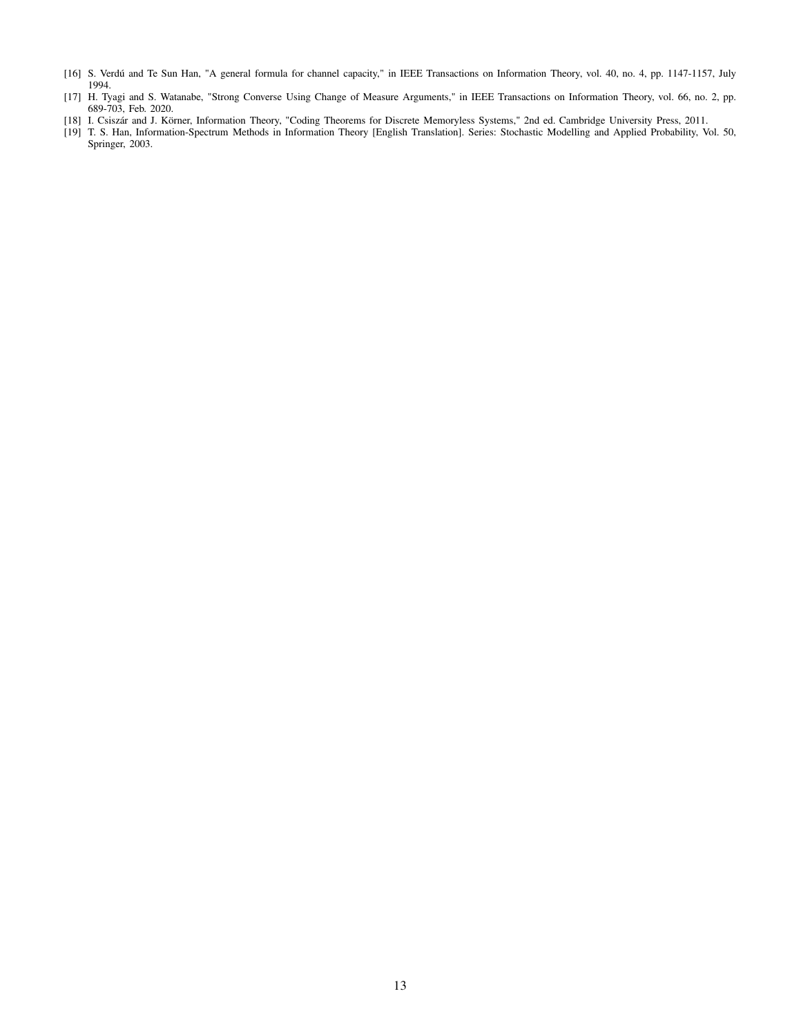- <span id="page-12-1"></span><span id="page-12-0"></span>[16] S. Verdú and Te Sun Han, "A general formula for channel capacity," in IEEE Transactions on Information Theory, vol. 40, no. 4, pp. 1147-1157, July 1994.
- [17] H. Tyagi and S. Watanabe, "Strong Converse Using Change of Measure Arguments," in IEEE Transactions on Information Theory, vol. 66, no. 2, pp. 689-703, Feb. 2020.
- <span id="page-12-3"></span><span id="page-12-2"></span>[18] I. Csiszár and J. Körner, Information Theory, "Coding Theorems for Discrete Memoryless Systems," 2nd ed. Cambridge University Press, 2011.
- [19] T. S. Han, Information-Spectrum Methods in Information Theory [English Translation]. Series: Stochastic Modelling and Applied Probability, Vol. 50, Springer, 2003.